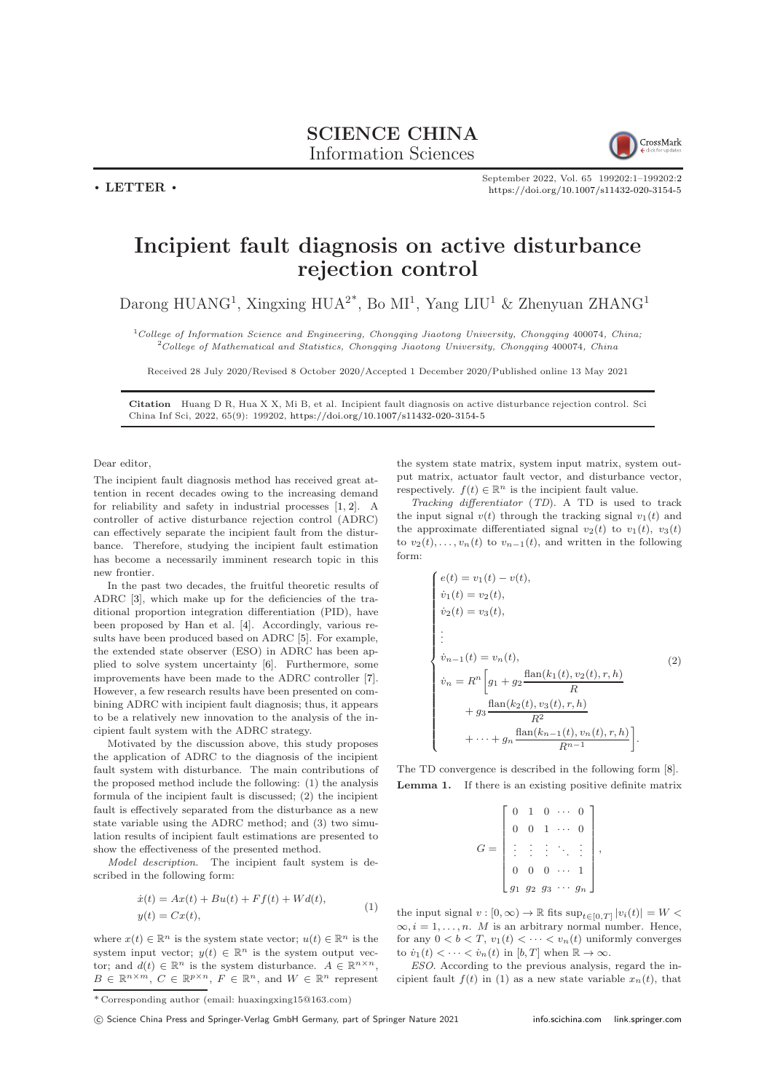

September 2022, Vol. 65 199202:1–199202[:2](#page-1-0) <https://doi.org/10.1007/s11432-020-3154-5>

## Incipient fault diagnosis on active disturbance rejection control

Darong HUANG<sup>1</sup>, Xingxing HUA<sup>2\*</sup>, Bo MI<sup>1</sup>, Yang LIU<sup>1</sup> & Zhenyuan ZHANG<sup>1</sup>

 $1$ College of Information Science and Engineering, Chongqing Jiaotong University, Chongqing 400074, China;  $^{2}$ College of Mathematical and Statistics, Chongqing Jiaotong University, Chongqing 400074, China

Received 28 July 2020/Revised 8 October 2020/Accepted 1 December 2020/Published online 13 May 2021

Citation Huang D R, Hua X X, Mi B, et al. Incipient fault diagnosis on active disturbance rejection control. Sci China Inf Sci, 2022, 65(9): 199202, <https://doi.org/10.1007/s11432-020-3154-5>

Dear editor,

 $\cdot$  LETTER  $\cdot$ 

The incipient fault diagnosis method has received great attention in recent decades owing to the increasing demand for reliability and safety in industrial processes [\[1,](#page-1-1) [2\]](#page-1-2). A controller of active disturbance rejection control (ADRC) can effectively separate the incipient fault from the disturbance. Therefore, studying the incipient fault estimation has become a necessarily imminent research topic in this new frontier.

In the past two decades, the fruitful theoretic results of ADRC [\[3\]](#page-1-3), which make up for the deficiencies of the traditional proportion integration differentiation (PID), have been proposed by Han et al. [\[4\]](#page-1-4). Accordingly, various results have been produced based on ADRC [\[5\]](#page-1-5). For example, the extended state observer (ESO) in ADRC has been applied to solve system uncertainty [\[6\]](#page-1-6). Furthermore, some improvements have been made to the ADRC controller [\[7\]](#page-1-7). However, a few research results have been presented on combining ADRC with incipient fault diagnosis; thus, it appears to be a relatively new innovation to the analysis of the incipient fault system with the ADRC strategy.

Motivated by the discussion above, this study proposes the application of ADRC to the diagnosis of the incipient fault system with disturbance. The main contributions of the proposed method include the following: (1) the analysis formula of the incipient fault is discussed; (2) the incipient fault is effectively separated from the disturbance as a new state variable using the ADRC method; and (3) two simulation results of incipient fault estimations are presented to show the effectiveness of the presented method.

Model description. The incipient fault system is described in the following form:

$$
\begin{aligned} \dot{x}(t) &= Ax(t) + Bu(t) + Ff(t) + Wd(t), \\ y(t) &= Cx(t), \end{aligned} \tag{1}
$$

where  $x(t) \in \mathbb{R}^n$  is the system state vector;  $u(t) \in \mathbb{R}^n$  is the system input vector;  $y(t) \in \mathbb{R}^n$  is the system output vector; and  $d(t) \in \mathbb{R}^n$  is the system disturbance.  $A \in \mathbb{R}^{n \times n}$ ,  $B \in \mathbb{R}^{n \times m}$ ,  $C \in \mathbb{R}^{p \times n}$ ,  $F \in \mathbb{R}^{n}$ , and  $W \in \mathbb{R}^{n}$  represent

the system state matrix, system input matrix, system output matrix, actuator fault vector, and disturbance vector, respectively.  $f(t) \in \mathbb{R}^n$  is the incipient fault value.

Tracking differentiator (TD). A TD is used to track the input signal  $v(t)$  through the tracking signal  $v_1(t)$  and the approximate differentiated signal  $v_2(t)$  to  $v_1(t)$ ,  $v_3(t)$ to  $v_2(t), \ldots, v_n(t)$  to  $v_{n-1}(t)$ , and written in the following form:

$$
\begin{cases}\ne(t) = v_1(t) - v(t), \\
\dot{v}_1(t) = v_2(t), \\
\dot{v}_2(t) = v_3(t), \\
\vdots \\
\dot{v}_{n-1}(t) = v_n(t), \\
\dot{v}_n = R^n \left[ g_1 + g_2 \frac{\text{flan}(k_1(t), v_2(t), r, h)}{R} + g_3 \frac{\text{flan}(k_2(t), v_3(t), r, h)}{R^2} + \dots + g_n \frac{\text{flan}(k_{n-1}(t), v_n(t), r, h)}{R^{n-1}} \right].\n\end{cases} (2)
$$

The TD convergence is described in the following form [\[8\]](#page-1-8). Lemma 1. If there is an existing positive definite matrix

| $\mathbf{0}$   |                | $1\quad 0\quad \cdots$ |       |  |
|----------------|----------------|------------------------|-------|--|
|                |                | $\overline{1}$         |       |  |
|                |                | $\frac{1}{2}$          |       |  |
| $\overline{0}$ | $\overline{0}$ | $\overline{0}$         |       |  |
|                | $g_2$ $g_3$    |                        | $g_n$ |  |

the input signal  $v : [0, \infty) \to \mathbb{R}$  fits  $\sup_{t \in [0, T]} |v_i(t)| = W$  $\infty, i = 1, \ldots, n$ . *M* is an arbitrary normal number. Hence, for any  $0 < b < T$ ,  $v_1(t) < \cdots < v_n(t)$  uniformly converges to  $\dot{v}_1(t) < \cdots < \dot{v}_n(t)$  in  $[b, T]$  when  $\mathbb{R} \to \infty$ .

ESO. According to the previous analysis, regard the incipient fault  $f(t)$  in (1) as a new state variable  $x_n(t)$ , that

(C) Science China Press and Springer-Verlag GmbH Germany, part of Springer Nature 2021 <info.scichina.com><link.springer.com>

<sup>\*</sup> Corresponding author (email: huaxingxing15@163.com)